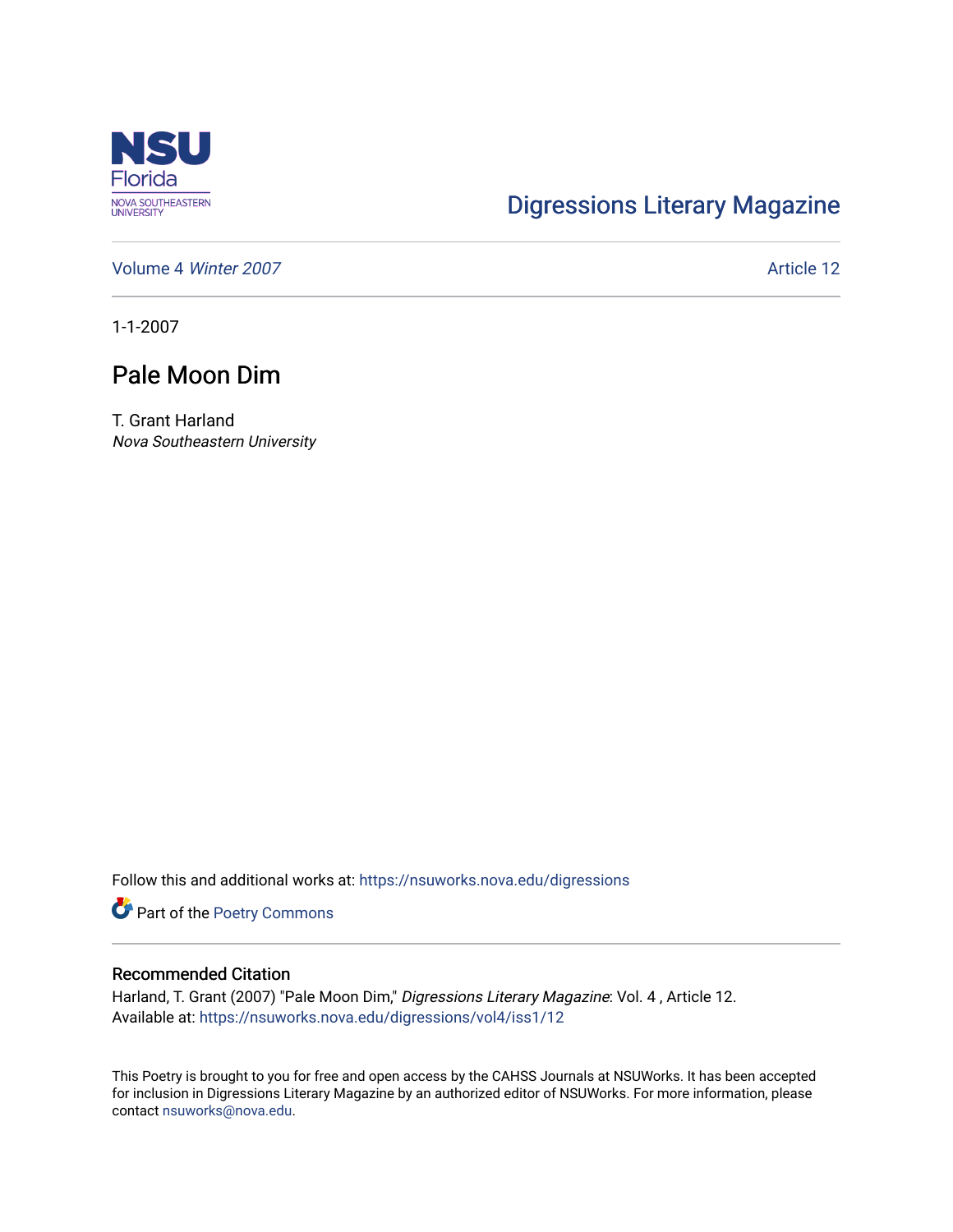

## [Digressions Literary Magazine](https://nsuworks.nova.edu/digressions)

[Volume 4](https://nsuworks.nova.edu/digressions/vol4) Winter 2007 **Article 12** Article 12

1-1-2007

## Pale Moon Dim

T. Grant Harland Nova Southeastern University

Follow this and additional works at: [https://nsuworks.nova.edu/digressions](https://nsuworks.nova.edu/digressions?utm_source=nsuworks.nova.edu%2Fdigressions%2Fvol4%2Fiss1%2F12&utm_medium=PDF&utm_campaign=PDFCoverPages) 

Part of the [Poetry Commons](http://network.bepress.com/hgg/discipline/1153?utm_source=nsuworks.nova.edu%2Fdigressions%2Fvol4%2Fiss1%2F12&utm_medium=PDF&utm_campaign=PDFCoverPages) 

## Recommended Citation

Harland, T. Grant (2007) "Pale Moon Dim," Digressions Literary Magazine: Vol. 4 , Article 12. Available at: [https://nsuworks.nova.edu/digressions/vol4/iss1/12](https://nsuworks.nova.edu/digressions/vol4/iss1/12?utm_source=nsuworks.nova.edu%2Fdigressions%2Fvol4%2Fiss1%2F12&utm_medium=PDF&utm_campaign=PDFCoverPages) 

This Poetry is brought to you for free and open access by the CAHSS Journals at NSUWorks. It has been accepted for inclusion in Digressions Literary Magazine by an authorized editor of NSUWorks. For more information, please contact [nsuworks@nova.edu.](mailto:nsuworks@nova.edu)